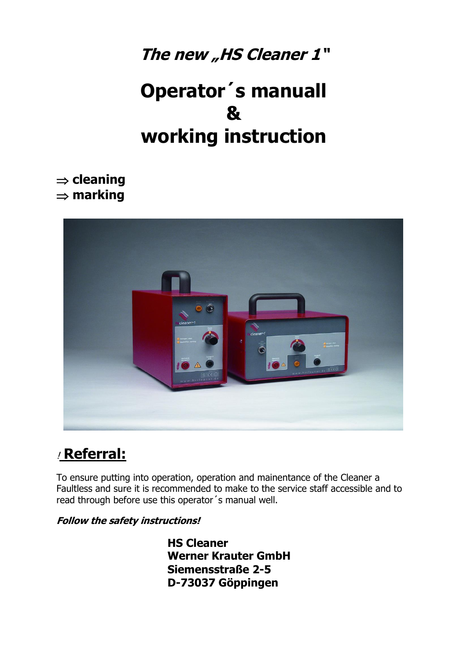### The new "HS Cleaner 1"

# **Operator´s manuall & working instruction**

 $\Rightarrow$  **cleaning marking**



### ! **Referral:**

To ensure putting into operation, operation and mainentance of the Cleaner a Faultless and sure it is recommended to make to the service staff accessible and to read through before use this operator´s manual well.

### **Follow the safety instructions!**

**HS Cleaner Werner Krauter GmbH Siemensstraße 2-5 D-73037 Göppingen**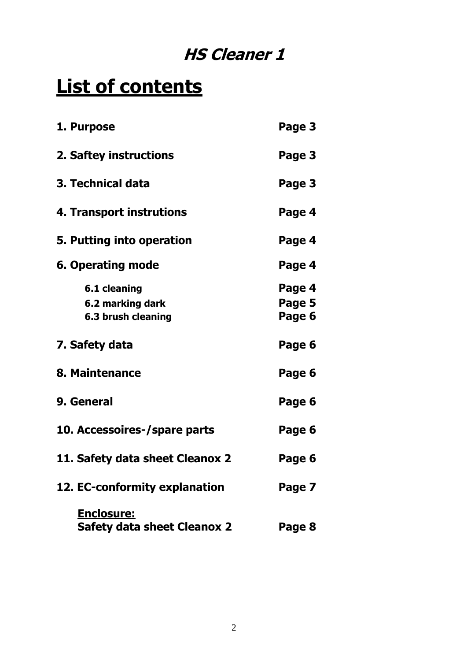## **HS Cleaner 1**

# **List of contents**

| 1. Purpose                                              | Page 3                     |
|---------------------------------------------------------|----------------------------|
| 2. Saftey instructions                                  | Page 3                     |
| 3. Technical data                                       | Page 3                     |
| 4. Transport instrutions                                | Page 4                     |
| 5. Putting into operation                               | Page 4                     |
| <b>6. Operating mode</b>                                | Page 4                     |
| 6.1 cleaning<br>6.2 marking dark<br>6.3 brush cleaning  | Page 4<br>Page 5<br>Page 6 |
| 7. Safety data                                          | Page 6                     |
| 8. Maintenance                                          | Page 6                     |
| 9. General                                              | Page 6                     |
| 10. Accessoires-/spare parts                            | Page 6                     |
| 11. Safety data sheet Cleanox 2                         | Page 6                     |
| 12. EC-conformity explanation                           | Page 7                     |
| <u>Enclosure:</u><br><b>Safety data sheet Cleanox 2</b> | Page 8                     |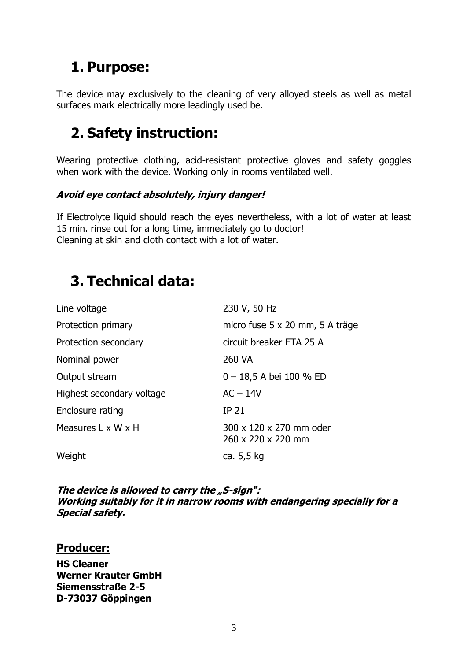### **1. Purpose:**

The device may exclusively to the cleaning of very alloyed steels as well as metal surfaces mark electrically more leadingly used be.

### **2. Safety instruction:**

Wearing protective clothing, acid-resistant protective gloves and safety goggles when work with the device. Working only in rooms ventilated well.

### **Avoid eye contact absolutely, injury danger!**

If Electrolyte liquid should reach the eyes nevertheless, with a lot of water at least 15 min. rinse out for a long time, immediately go to doctor! Cleaning at skin and cloth contact with a lot of water.

### **3. Technical data:**

| Line voltage              | 230 V, 50 Hz                                  |
|---------------------------|-----------------------------------------------|
| Protection primary        | micro fuse 5 x 20 mm, 5 A träge               |
| Protection secondary      | circuit breaker ETA 25 A                      |
| Nominal power             | 260 VA                                        |
| Output stream             | $0 - 18,5$ A bei 100 % ED                     |
| Highest secondary voltage | $AC - 14V$                                    |
| Enclosure rating          | <b>IP 21</b>                                  |
| Measures L x W x H        | 300 x 120 x 270 mm oder<br>260 x 220 x 220 mm |
| Weight                    | ca. 5,5 kg                                    |
|                           |                                               |

**The device is allowed to carry the "S-sign": Working suitably for it in narrow rooms with endangering specially for a Special safety.**

### **Producer:**

**HS Cleaner Werner Krauter GmbH Siemensstraße 2-5 D-73037 Göppingen**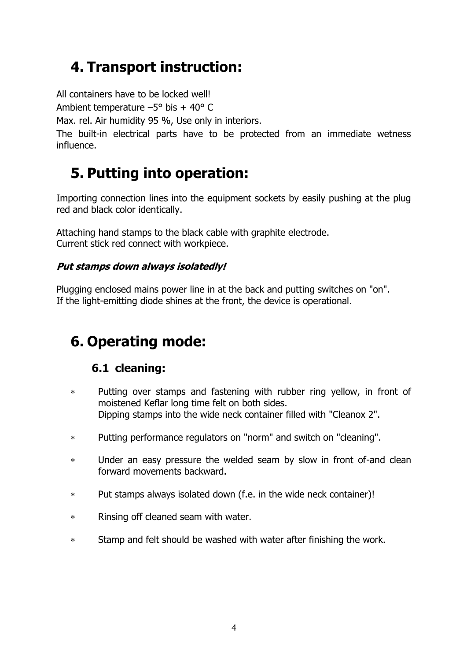### **4. Transport instruction:**

All containers have to be locked well!

Ambient temperature  $-5^{\circ}$  bis + 40° C

Max. rel. Air humidity 95 %, Use only in interiors.

The built-in electrical parts have to be protected from an immediate wetness influence.

### **5. Putting into operation:**

Importing connection lines into the equipment sockets by easily pushing at the plug red and black color identically.

Attaching hand stamps to the black cable with graphite electrode. Current stick red connect with workpiece.

### **Put stamps down always isolatedly!**

Plugging enclosed mains power line in at the back and putting switches on "on". If the light-emitting diode shines at the front, the device is operational.

## **6. Operating mode:**

### **6.1 cleaning:**

- Putting over stamps and fastening with rubber ring yellow, in front of moistened Keflar long time felt on both sides. Dipping stamps into the wide neck container filled with "Cleanox 2".
- Putting performance regulators on "norm" and switch on "cleaning".
- Under an easy pressure the welded seam by slow in front of-and clean forward movements backward.
- Put stamps always isolated down (f.e. in the wide neck container)!
- Rinsing off cleaned seam with water.
- Stamp and felt should be washed with water after finishing the work.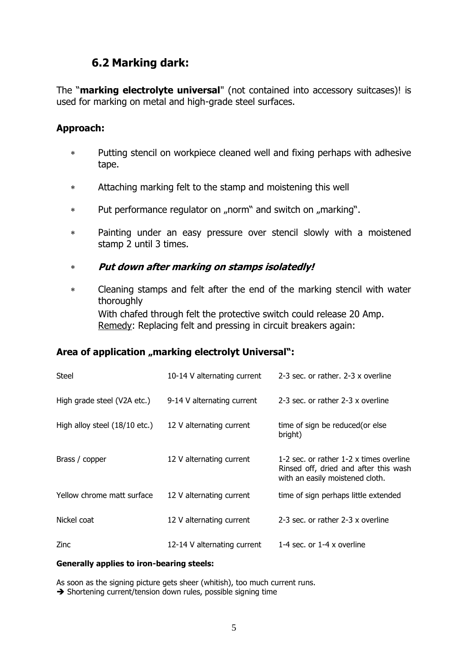### **6.2 Marking dark:**

The "**marking electrolyte universal**" (not contained into accessory suitcases)! is used for marking on metal and high-grade steel surfaces.

#### **Approach:**

- Putting stencil on workpiece cleaned well and fixing perhaps with adhesive tape.
- Attaching marking felt to the stamp and moistening this well
- \* Put performance regulator on "norm" and switch on "marking".
- Painting under an easy pressure over stencil slowly with a moistened stamp 2 until 3 times.
- **Put down after marking on stamps isolatedly!**
- Cleaning stamps and felt after the end of the marking stencil with water thoroughly With chafed through felt the protective switch could release 20 Amp. Remedy: Replacing felt and pressing in circuit breakers again:

### Area of application "marking electrolyt Universal":

| Steel                         | 10-14 V alternating current | 2-3 sec. or rather, 2-3 x overline                                                                                  |
|-------------------------------|-----------------------------|---------------------------------------------------------------------------------------------------------------------|
| High grade steel (V2A etc.)   | 9-14 V alternating current  | 2-3 sec. or rather 2-3 x overline                                                                                   |
| High alloy steel (18/10 etc.) | 12 V alternating current    | time of sign be reduced (or else<br>bright)                                                                         |
| Brass / copper                | 12 V alternating current    | 1-2 sec. or rather 1-2 x times overline<br>Rinsed off, dried and after this wash<br>with an easily moistened cloth. |
| Yellow chrome matt surface    | 12 V alternating current    | time of sign perhaps little extended                                                                                |
| Nickel coat                   | 12 V alternating current    | 2-3 sec. or rather 2-3 x overline                                                                                   |
| Zinc                          | 12-14 V alternating current | 1-4 sec. or 1-4 $\times$ overline                                                                                   |

#### **Generally applies to iron-bearing steels:**

As soon as the signing picture gets sheer (whitish), too much current runs.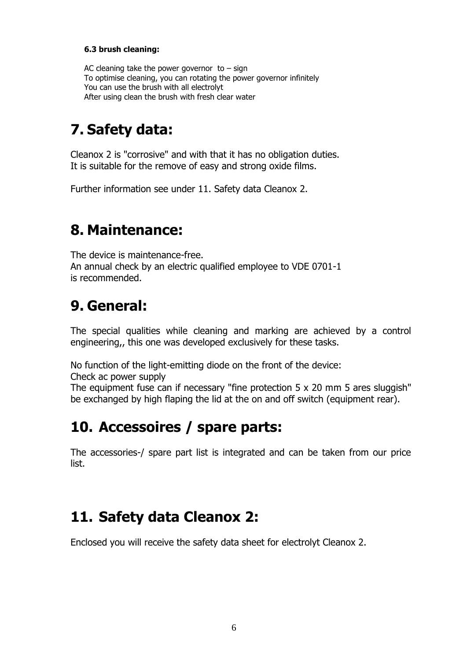#### **6.3 brush cleaning:**

AC cleaning take the power governor to  $-$  sign To optimise cleaning, you can rotating the power governor infinitely You can use the brush with all electrolyt After using clean the brush with fresh clear water

### **7. Safety data:**

Cleanox 2 is "corrosive" and with that it has no obligation duties. It is suitable for the remove of easy and strong oxide films.

Further information see under 11. Safety data Cleanox 2.

### **8. Maintenance:**

The device is maintenance-free. An annual check by an electric qualified employee to VDE 0701-1 is recommended.

### **9. General:**

The special qualities while cleaning and marking are achieved by a control engineering,, this one was developed exclusively for these tasks.

No function of the light-emitting diode on the front of the device:

Check ac power supply

The equipment fuse can if necessary "fine protection 5 x 20 mm 5 ares sluggish" be exchanged by high flaping the lid at the on and off switch (equipment rear).

### **10. Accessoires / spare parts:**

The accessories-/ spare part list is integrated and can be taken from our price list.

### **11. Safety data Cleanox 2:**

Enclosed you will receive the safety data sheet for electrolyt Cleanox 2.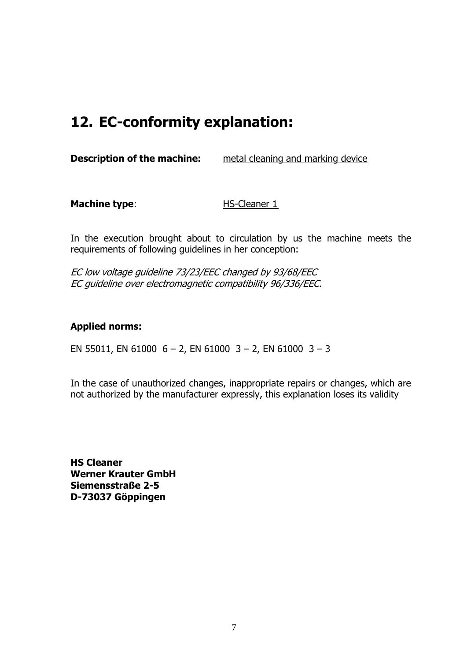### **12. EC-conformity explanation:**

**Description of the machine:** metal cleaning and marking device

**Machine type:** HS-Cleaner 1

In the execution brought about to circulation by us the machine meets the requirements of following guidelines in her conception:

EC low voltage guideline 73/23/EEC changed by 93/68/EEC EC guideline over electromagnetic compatibility 96/336/EEC.

### **Applied norms:**

EN 55011, EN 61000  $6 - 2$ , EN 61000  $3 - 2$ , EN 61000  $3 - 3$ 

In the case of unauthorized changes, inappropriate repairs or changes, which are not authorized by the manufacturer expressly, this explanation loses its validity

**HS Cleaner Werner Krauter GmbH Siemensstraße 2-5 D-73037 Göppingen**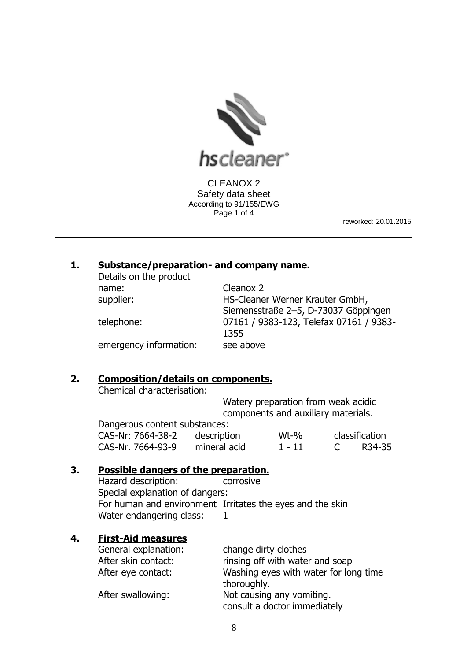

CLEANOX 2 Safety data sheet According to 91/155/EWG Page 1 of 4

reworked: 20.01.2015

#### **1. Substance/preparation- and company name.** Details on the product

| Details on the product |                                         |
|------------------------|-----------------------------------------|
| name:                  | Cleanox 2                               |
| supplier:              | HS-Cleaner Werner Krauter GmbH,         |
|                        | Siemensstraße 2-5, D-73037 Göppingen    |
| telephone:             | 07161 / 9383-123, Telefax 07161 / 9383- |
|                        | 1355                                    |
| emergency information: | see above                               |
|                        |                                         |

#### **2. Composition/details on components.**

Chemical characterisation:

Watery preparation from weak acidic components and auxiliary materials. Dangerous content substances:

| Dangerous content substances: |              |         |                |
|-------------------------------|--------------|---------|----------------|
| CAS-Nr: 7664-38-2             | description  | $Wt-96$ | classification |
| CAS-Nr. 7664-93-9             | mineral acid | -1 - 11 | R34-35         |

#### **3. Possible dangers of the preparation.**

Hazard description: corrosive Special explanation of dangers: For human and environment Irritates the eyes and the skin Water endangering class: 1

#### **4. First-Aid measures**

| General explanation: | change dirty clothes                  |
|----------------------|---------------------------------------|
| After skin contact:  | rinsing off with water and soap       |
| After eye contact:   | Washing eyes with water for long time |
|                      | thoroughly.                           |
| After swallowing:    | Not causing any vomiting.             |
|                      | consult a doctor immediately          |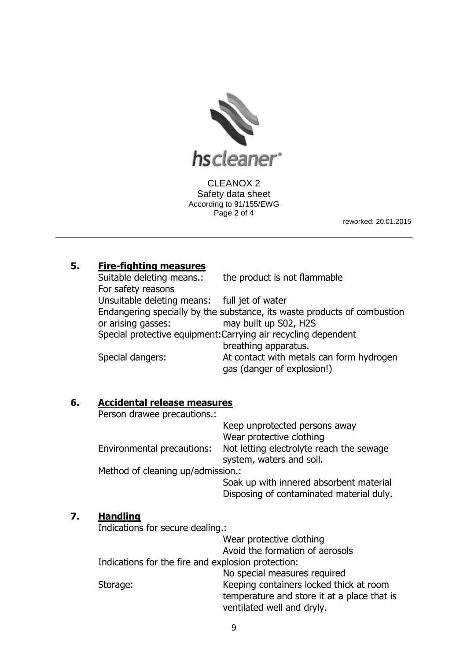

CLEANOX 2 Safety data sheet According to 91/155/EWG Page 2 of 4

reworked: 20.01.2015

### **5. Fire-fighting measures**

Suitable deleting means.: the product is not flammable For safety reasons Unsuitable deleting means: full jet of water Endangering specially by the substance, its waste products of combustion or arising gasses: may built up S02, H2S Special protective equipment:Carrying air recycling dependent breathing apparatus. Special dangers: At contact with metals can form hydrogen gas (danger of explosion!)

**6. Accidental release measures**

Person drawee precautions.:

|                                   | Keep unprotected persons away                                        |
|-----------------------------------|----------------------------------------------------------------------|
|                                   | Wear protective clothing                                             |
| Environmental precautions:        | Not letting electrolyte reach the sewage<br>system, waters and soil. |
| Method of cleaning up/admission.: |                                                                      |
|                                   | Soak up with innered absorbent material                              |

Disposing of contaminated material duly.

### **7. Handling**

Indications for secure dealing.:

Wear protective clothing

Avoid the formation of aerosols

Indications for the fire and explosion protection:

No special measures required Storage: Keeping containers locked thick at room

temperature and store it at a place that is ventilated well and dryly.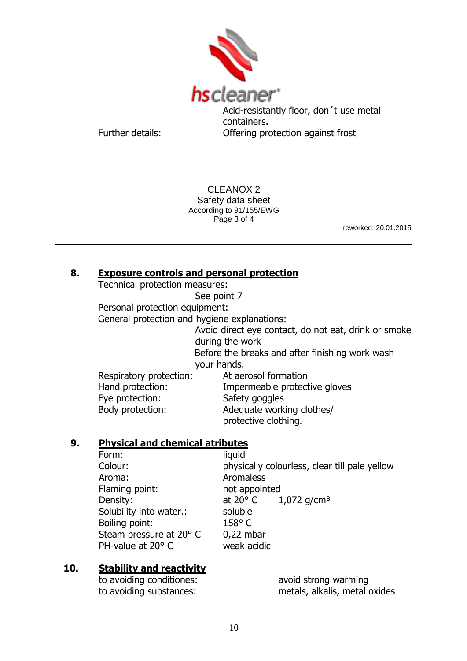

Acid-resistantly floor, don´t use metal containers. Further details: Offering protection against frost

CLEANOX 2 Safety data sheet According to 91/155/EWG Page 3 of 4

reworked: 20.01.2015

### **8. Exposure controls and personal protection**

Technical protection measures:

See point 7

Personal protection equipment:

General protection and hygiene explanations:

Avoid direct eye contact, do not eat, drink or smoke during the work Before the breaks and after finishing work wash

your hands.

Respiratory protection: At aerosol formation Eye protection: Safety goggles

Hand protection: Impermeable protective gloves Body protection: Adequate working clothes/ protective clothing.

### **9. Physical and chemical atributes**

| Form:                   | liquid                                        |
|-------------------------|-----------------------------------------------|
| Colour:                 | physically colourless, clear till pale yellow |
| Aroma:                  | Aromaless                                     |
| Flaming point:          | not appointed                                 |
| Density:                | at 20 $^{\circ}$ C 1,072 g/cm <sup>3</sup>    |
| Solubility into water.: | soluble                                       |
| Boiling point:          | $158^{\circ}$ C                               |
| Steam pressure at 20° C | $0,22$ mbar                                   |
| PH-value at 20° C       | weak acidic                                   |

### **10. Stability and reactivity**

to avoiding conditiones: avoid strong warming

to avoiding substances: metals, alkalis, metal oxides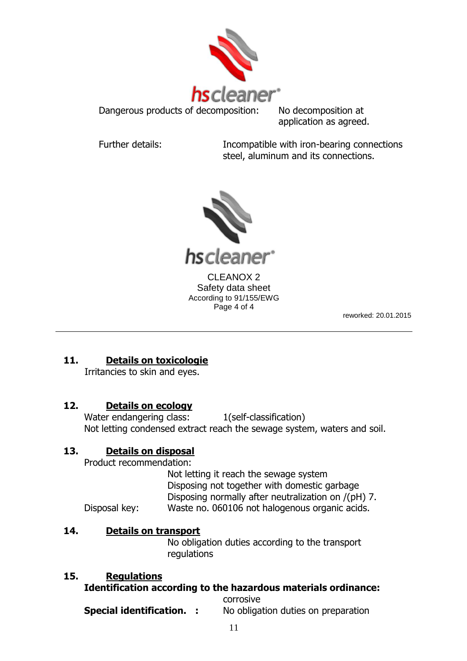

Dangerous products of decomposition: No decomposition at application as agreed.

Further details: Incompatible with iron-bearing connections steel, aluminum and its connections.



reworked: 20.01.2015

### **11. Details on toxicologie**

Irritancies to skin and eyes.

### **12. Details on ecology**

Water endangering class: 1(self-classification) Not letting condensed extract reach the sewage system, waters and soil.

### **13. Details on disposal**

Product recommendation:

Not letting it reach the sewage system Disposing not together with domestic garbage Disposing normally after neutralization on /(pH) 7. Disposal key: Waste no. 060106 not halogenous organic acids.

### **14. Details on transport**

No obligation duties according to the transport regulations

### **15. Regulations**

### **Identification according to the hazardous materials ordinance:**

corrosive **Special identification. :** No obligation duties on preparation